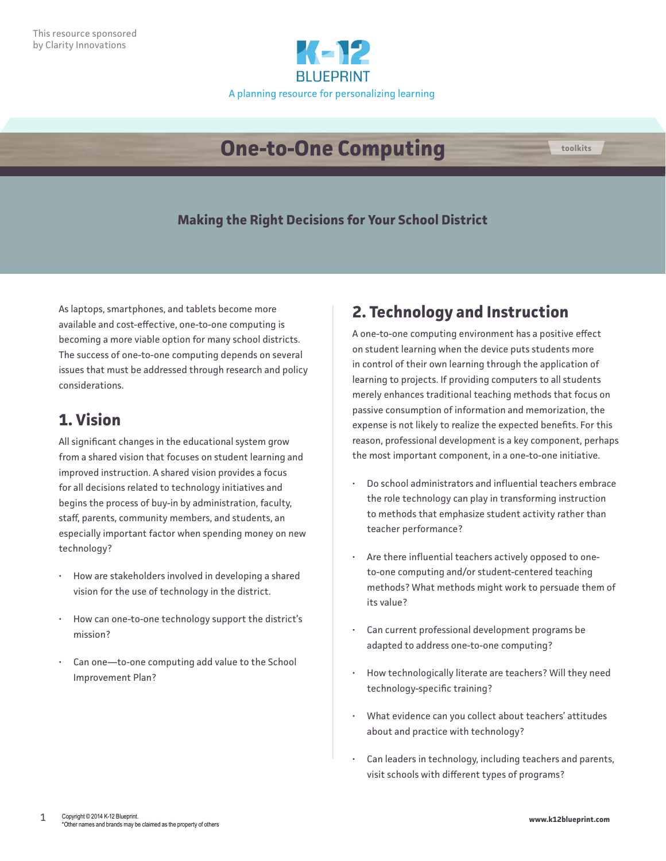

# **One-to-One Computing toolkits**

#### **Making the Right Decisions for Your School District**

As laptops, smartphones, and tablets become more available and cost-effective, one-to-one computing is becoming a more viable option for many school districts. The success of one-to-one computing depends on several issues that must be addressed through research and policy considerations.

#### **1. Vision**

All significant changes in the educational system grow from a shared vision that focuses on student learning and improved instruction. A shared vision provides a focus for all decisions related to technology initiatives and begins the process of buy-in by administration, faculty, staff, parents, community members, and students, an especially important factor when spending money on new technology?

- How are stakeholders involved in developing a shared vision for the use of technology in the district.
- How can one-to-one technology support the district's mission?
- Can one-to-one computing add value to the School Improvement Plan?

### **2. Technology and Instruction**

A one-to-one computing environment has a positive effect on student learning when the device puts students more in control of their own learning through the application of learning to projects. If providing computers to all students merely enhances traditional teaching methods that focus on passive consumption of information and memorization, the expense is not likely to realize the expected benefits. For this reason, professional development is a key component, perhaps the most important component, in a one-to-one initiative.

- Do school administrators and influential teachers embrace the role technology can play in transforming instruction to methods that emphasize student activity rather than teacher performance?
- Are there influential teachers actively opposed to oneto-one computing and/or student-centered teaching methods? What methods might work to persuade them of its value?
- Can current professional development programs be adapted to address one-to-one computing?
- How technologically literate are teachers? Will they need technology-specific training?
- What evidence can you collect about teachers' attitudes about and practice with technology?
- Can leaders in technology, including teachers and parents, visit schools with different types of programs?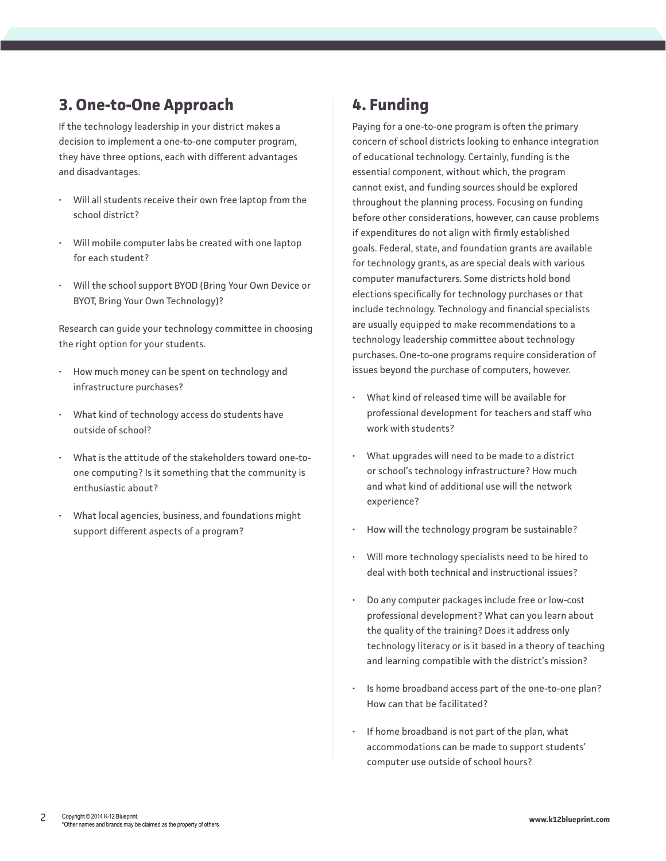#### **3. One-to-One Approach**

If the technology leadership in your district makes a decision to implement a one-to-one computer program, they have three options, each with different advantages and disadvantages.

- Will all students receive their own free laptop from the school district?
- Will mobile computer labs be created with one laptop for each student?
- Will the school support BYOD (Bring Your Own Device or BYOT, Bring Your Own Technology)?

Research can guide your technology committee in choosing the right option for your students.

- How much money can be spent on technology and infrastructure purchases?
- What kind of technology access do students have outside of school?
- What is the attitude of the stakeholders toward one-toone computing? Is it something that the community is enthusiastic about?
- What local agencies, business, and foundations might support different aspects of a program?

### **4. Funding**

Paying for a one-to-one program is often the primary concern of school districts looking to enhance integration of educational technology. Certainly, funding is the essential component, without which, the program cannot exist, and funding sources should be explored throughout the planning process. Focusing on funding before other considerations, however, can cause problems if expenditures do not align with firmly established goals. Federal, state, and foundation grants are available for technology grants, as are special deals with various computer manufacturers. Some districts hold bond elections specifically for technology purchases or that include technology. Technology and financial specialists are usually equipped to make recommendations to a technology leadership committee about technology purchases. One-to-one programs require consideration of issues beyond the purchase of computers, however.

- What kind of released time will be available for professional development for teachers and staff who work with students?
- What upgrades will need to be made to a district or school's technology infrastructure? How much and what kind of additional use will the network experience?
- How will the technology program be sustainable?
- Will more technology specialists need to be hired to deal with both technical and instructional issues?
- Do any computer packages include free or low-cost professional development? What can you learn about the quality of the training? Does it address only technology literacy or is it based in a theory of teaching and learning compatible with the district's mission?
- Is home broadband access part of the one-to-one plan? How can that be facilitated?
- If home broadband is not part of the plan, what accommodations can be made to support students' computer use outside of school hours?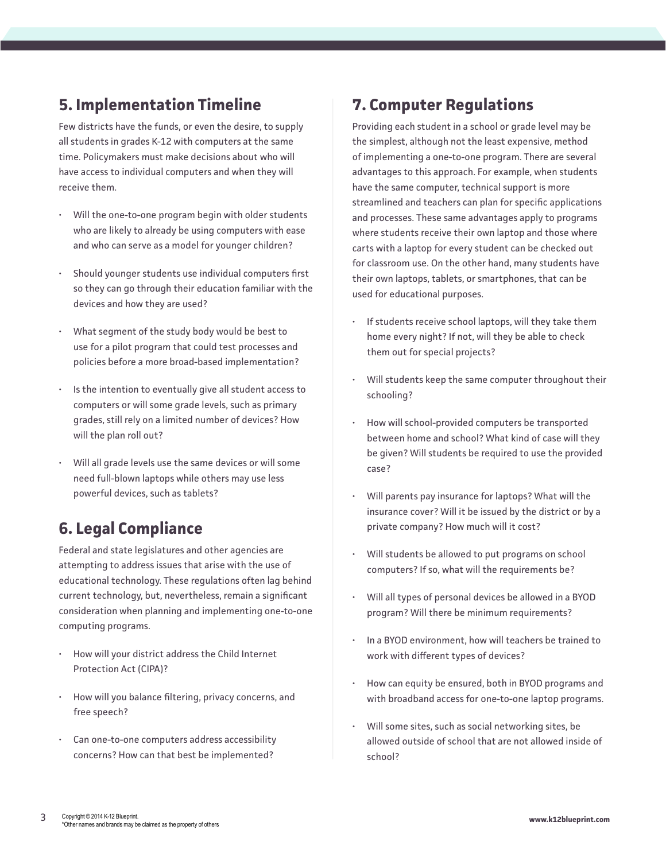#### **5. Implementation Timeline**

Few districts have the funds, or even the desire, to supply all students in grades K-12 with computers at the same time. Policymakers must make decisions about who will have access to individual computers and when they will receive them.

- Will the one-to-one program begin with older students who are likely to already be using computers with ease and who can serve as a model for younger children?
- Should younger students use individual computers first so they can go through their education familiar with the devices and how they are used?
- What segment of the study body would be best to use for a pilot program that could test processes and policies before a more broad-based implementation?
- Is the intention to eventually give all student access to computers or will some grade levels, such as primary grades, still rely on a limited number of devices? How will the plan roll out?
- Will all grade levels use the same devices or will some need full-blown laptops while others may use less powerful devices, such as tablets?

#### **6. Legal Compliance**

Federal and state legislatures and other agencies are attempting to address issues that arise with the use of educational technology. These regulations often lag behind current technology, but, nevertheless, remain a significant consideration when planning and implementing one-to-one computing programs.

- How will your district address the Child Internet Protection Act (CIPA)?
- How will you balance filtering, privacy concerns, and free speech?
- Can one-to-one computers address accessibility concerns? How can that best be implemented?

## **7. Computer Regulations**

Providing each student in a school or grade level may be the simplest, although not the least expensive, method of implementing a one-to-one program. There are several advantages to this approach. For example, when students have the same computer, technical support is more streamlined and teachers can plan for specific applications and processes. These same advantages apply to programs where students receive their own laptop and those where carts with a laptop for every student can be checked out for classroom use. On the other hand, many students have their own laptops, tablets, or smartphones, that can be used for educational purposes.

- If students receive school laptops, will they take them home every night? If not, will they be able to check them out for special projects?
- Will students keep the same computer throughout their schooling?
- How will school-provided computers be transported between home and school? What kind of case will they be given? Will students be required to use the provided case?
- Will parents pay insurance for laptops? What will the insurance cover? Will it be issued by the district or by a private company? How much will it cost?
- Will students be allowed to put programs on school computers? If so, what will the requirements be?
- Will all types of personal devices be allowed in a BYOD program? Will there be minimum requirements?
- In a BYOD environment, how will teachers be trained to work with different types of devices?
- How can equity be ensured, both in BYOD programs and with broadband access for one-to-one laptop programs.
- Will some sites, such as social networking sites, be allowed outside of school that are not allowed inside of school?